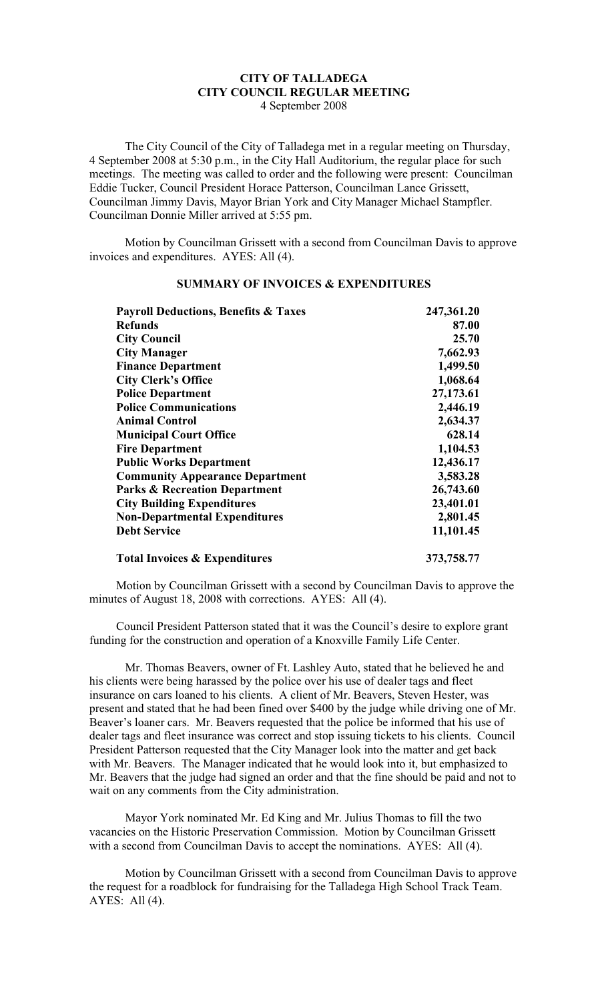## **CITY OF TALLADEGA CITY COUNCIL REGULAR MEETING** 4 September 2008

The City Council of the City of Talladega met in a regular meeting on Thursday, 4 September 2008 at 5:30 p.m., in the City Hall Auditorium, the regular place for such meetings. The meeting was called to order and the following were present: Councilman Eddie Tucker, Council President Horace Patterson, Councilman Lance Grissett, Councilman Jimmy Davis, Mayor Brian York and City Manager Michael Stampfler. Councilman Donnie Miller arrived at 5:55 pm.

Motion by Councilman Grissett with a second from Councilman Davis to approve invoices and expenditures. AYES: All (4).

| <b>Payroll Deductions, Benefits &amp; Taxes</b><br><b>Refunds</b><br><b>City Council</b><br><b>City Manager</b> | 247,361.20<br>87.00<br>25.70<br>7,662.93 |                                        |           |
|-----------------------------------------------------------------------------------------------------------------|------------------------------------------|----------------------------------------|-----------|
|                                                                                                                 |                                          | <b>Finance Department</b>              | 1,499.50  |
|                                                                                                                 |                                          | <b>City Clerk's Office</b>             | 1,068.64  |
|                                                                                                                 |                                          | <b>Police Department</b>               | 27,173.61 |
| <b>Police Communications</b>                                                                                    | 2,446.19                                 |                                        |           |
| <b>Animal Control</b><br><b>Municipal Court Office</b><br><b>Fire Department</b>                                | 2,634.37<br>628.14<br>1,104.53           |                                        |           |
|                                                                                                                 |                                          | <b>Public Works Department</b>         | 12,436.17 |
|                                                                                                                 |                                          | <b>Community Appearance Department</b> | 3,583.28  |
| <b>Parks &amp; Recreation Department</b>                                                                        | 26,743.60                                |                                        |           |
| <b>City Building Expenditures</b>                                                                               | 23,401.01                                |                                        |           |
| <b>Non-Departmental Expenditures</b>                                                                            | 2,801.45                                 |                                        |           |
| <b>Debt Service</b>                                                                                             | 11,101.45                                |                                        |           |
| <b>Total Invoices &amp; Expenditures</b>                                                                        | 373,758.77                               |                                        |           |

## **SUMMARY OF INVOICES & EXPENDITURES**

Motion by Councilman Grissett with a second by Councilman Davis to approve the minutes of August 18, 2008 with corrections. AYES: All (4).

Council President Patterson stated that it was the Council's desire to explore grant funding for the construction and operation of a Knoxville Family Life Center.

Mr. Thomas Beavers, owner of Ft. Lashley Auto, stated that he believed he and his clients were being harassed by the police over his use of dealer tags and fleet insurance on cars loaned to his clients. A client of Mr. Beavers, Steven Hester, was present and stated that he had been fined over \$400 by the judge while driving one of Mr. Beaver's loaner cars. Mr. Beavers requested that the police be informed that his use of dealer tags and fleet insurance was correct and stop issuing tickets to his clients. Council President Patterson requested that the City Manager look into the matter and get back with Mr. Beavers. The Manager indicated that he would look into it, but emphasized to Mr. Beavers that the judge had signed an order and that the fine should be paid and not to wait on any comments from the City administration.

Mayor York nominated Mr. Ed King and Mr. Julius Thomas to fill the two vacancies on the Historic Preservation Commission. Motion by Councilman Grissett with a second from Councilman Davis to accept the nominations. AYES: All (4).

Motion by Councilman Grissett with a second from Councilman Davis to approve the request for a roadblock for fundraising for the Talladega High School Track Team. AYES: All (4).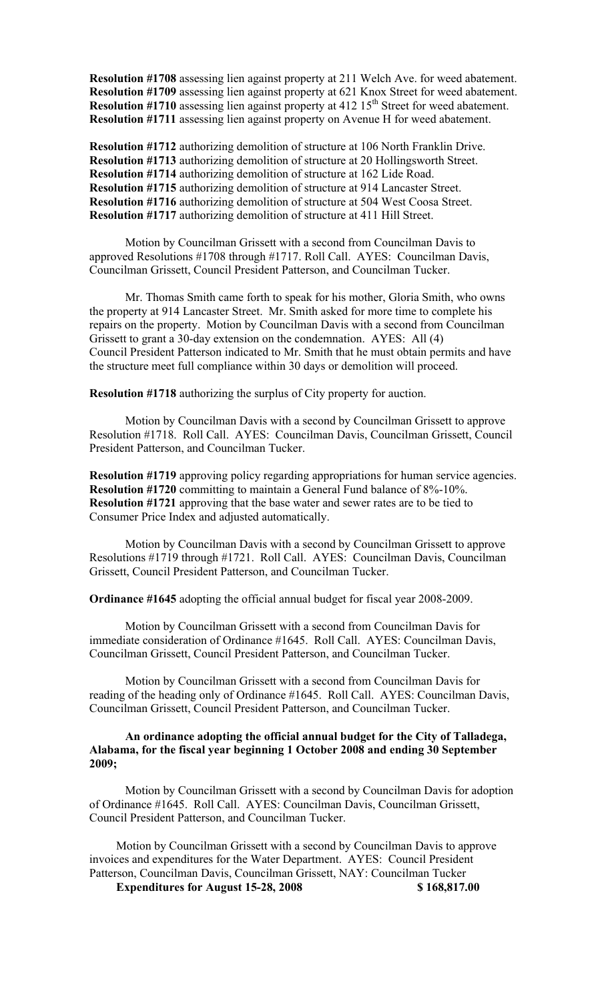**Resolution #1708** assessing lien against property at 211 Welch Ave. for weed abatement. **Resolution #1709** assessing lien against property at 621 Knox Street for weed abatement. **Resolution #1710** assessing lien against property at 412 15<sup>th</sup> Street for weed abatement. **Resolution #1711** assessing lien against property on Avenue H for weed abatement.

**Resolution #1712** authorizing demolition of structure at 106 North Franklin Drive. **Resolution #1713** authorizing demolition of structure at 20 Hollingsworth Street. **Resolution #1714** authorizing demolition of structure at 162 Lide Road. **Resolution #1715** authorizing demolition of structure at 914 Lancaster Street. **Resolution #1716** authorizing demolition of structure at 504 West Coosa Street. **Resolution #1717** authorizing demolition of structure at 411 Hill Street.

Motion by Councilman Grissett with a second from Councilman Davis to approved Resolutions #1708 through #1717. Roll Call. AYES: Councilman Davis, Councilman Grissett, Council President Patterson, and Councilman Tucker.

Mr. Thomas Smith came forth to speak for his mother, Gloria Smith, who owns the property at 914 Lancaster Street. Mr. Smith asked for more time to complete his repairs on the property. Motion by Councilman Davis with a second from Councilman Grissett to grant a 30-day extension on the condemnation. AYES: All (4) Council President Patterson indicated to Mr. Smith that he must obtain permits and have the structure meet full compliance within 30 days or demolition will proceed.

**Resolution #1718** authorizing the surplus of City property for auction.

Motion by Councilman Davis with a second by Councilman Grissett to approve Resolution #1718. Roll Call. AYES: Councilman Davis, Councilman Grissett, Council President Patterson, and Councilman Tucker.

**Resolution #1719** approving policy regarding appropriations for human service agencies. **Resolution #1720** committing to maintain a General Fund balance of 8%-10%. **Resolution #1721** approving that the base water and sewer rates are to be tied to Consumer Price Index and adjusted automatically.

Motion by Councilman Davis with a second by Councilman Grissett to approve Resolutions #1719 through #1721. Roll Call. AYES: Councilman Davis, Councilman Grissett, Council President Patterson, and Councilman Tucker.

**Ordinance #1645** adopting the official annual budget for fiscal year 2008-2009.

Motion by Councilman Grissett with a second from Councilman Davis for immediate consideration of Ordinance #1645. Roll Call. AYES: Councilman Davis, Councilman Grissett, Council President Patterson, and Councilman Tucker.

Motion by Councilman Grissett with a second from Councilman Davis for reading of the heading only of Ordinance #1645. Roll Call. AYES: Councilman Davis, Councilman Grissett, Council President Patterson, and Councilman Tucker.

## **An ordinance adopting the official annual budget for the City of Talladega, Alabama, for the fiscal year beginning 1 October 2008 and ending 30 September 2009;**

Motion by Councilman Grissett with a second by Councilman Davis for adoption of Ordinance #1645. Roll Call. AYES: Councilman Davis, Councilman Grissett, Council President Patterson, and Councilman Tucker.

Motion by Councilman Grissett with a second by Councilman Davis to approve invoices and expenditures for the Water Department. AYES: Council President Patterson, Councilman Davis, Councilman Grissett, NAY: Councilman Tucker

**Expenditures for August 15-28, 2008 \$ 168,817.00**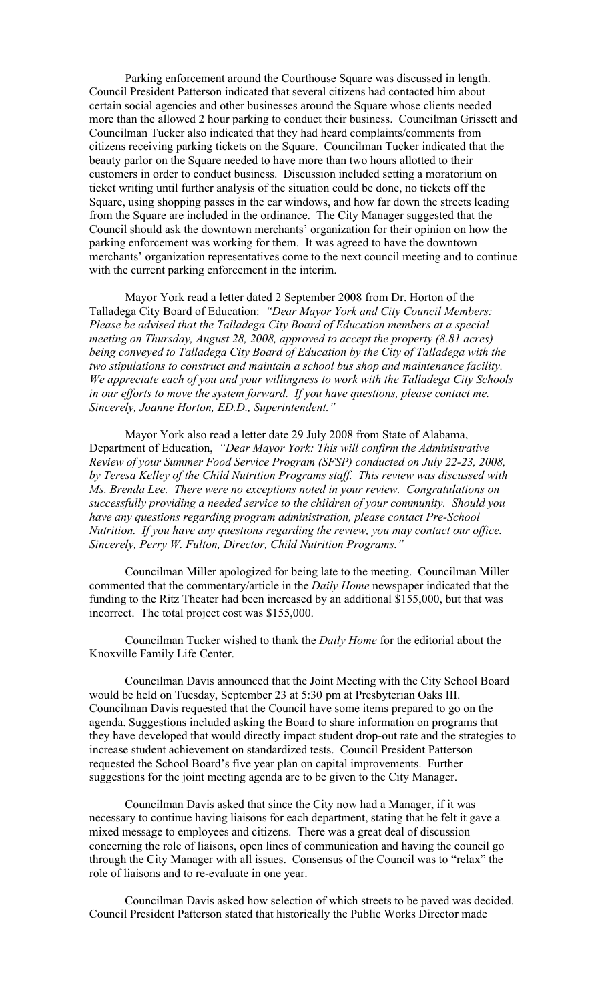Parking enforcement around the Courthouse Square was discussed in length. Council President Patterson indicated that several citizens had contacted him about certain social agencies and other businesses around the Square whose clients needed more than the allowed 2 hour parking to conduct their business. Councilman Grissett and Councilman Tucker also indicated that they had heard complaints/comments from citizens receiving parking tickets on the Square. Councilman Tucker indicated that the beauty parlor on the Square needed to have more than two hours allotted to their customers in order to conduct business. Discussion included setting a moratorium on ticket writing until further analysis of the situation could be done, no tickets off the Square, using shopping passes in the car windows, and how far down the streets leading from the Square are included in the ordinance. The City Manager suggested that the Council should ask the downtown merchants' organization for their opinion on how the parking enforcement was working for them. It was agreed to have the downtown merchants' organization representatives come to the next council meeting and to continue with the current parking enforcement in the interim.

Mayor York read a letter dated 2 September 2008 from Dr. Horton of the Talladega City Board of Education: *"Dear Mayor York and City Council Members: Please be advised that the Talladega City Board of Education members at a special meeting on Thursday, August 28, 2008, approved to accept the property (8.81 acres) being conveyed to Talladega City Board of Education by the City of Talladega with the two stipulations to construct and maintain a school bus shop and maintenance facility. We appreciate each of you and your willingness to work with the Talladega City Schools in our efforts to move the system forward. If you have questions, please contact me. Sincerely, Joanne Horton, ED.D., Superintendent."*

Mayor York also read a letter date 29 July 2008 from State of Alabama, Department of Education, *"Dear Mayor York: This will confirm the Administrative Review of your Summer Food Service Program (SFSP) conducted on July 22-23, 2008, by Teresa Kelley of the Child Nutrition Programs staff. This review was discussed with Ms. Brenda Lee. There were no exceptions noted in your review. Congratulations on successfully providing a needed service to the children of your community. Should you have any questions regarding program administration, please contact Pre-School Nutrition. If you have any questions regarding the review, you may contact our office. Sincerely, Perry W. Fulton, Director, Child Nutrition Programs."*

Councilman Miller apologized for being late to the meeting. Councilman Miller commented that the commentary/article in the *Daily Home* newspaper indicated that the funding to the Ritz Theater had been increased by an additional \$155,000, but that was incorrect. The total project cost was \$155,000.

Councilman Tucker wished to thank the *Daily Home* for the editorial about the Knoxville Family Life Center.

Councilman Davis announced that the Joint Meeting with the City School Board would be held on Tuesday, September 23 at 5:30 pm at Presbyterian Oaks III. Councilman Davis requested that the Council have some items prepared to go on the agenda. Suggestions included asking the Board to share information on programs that they have developed that would directly impact student drop-out rate and the strategies to increase student achievement on standardized tests. Council President Patterson requested the School Board's five year plan on capital improvements. Further suggestions for the joint meeting agenda are to be given to the City Manager.

Councilman Davis asked that since the City now had a Manager, if it was necessary to continue having liaisons for each department, stating that he felt it gave a mixed message to employees and citizens. There was a great deal of discussion concerning the role of liaisons, open lines of communication and having the council go through the City Manager with all issues. Consensus of the Council was to "relax" the role of liaisons and to re-evaluate in one year.

Councilman Davis asked how selection of which streets to be paved was decided. Council President Patterson stated that historically the Public Works Director made